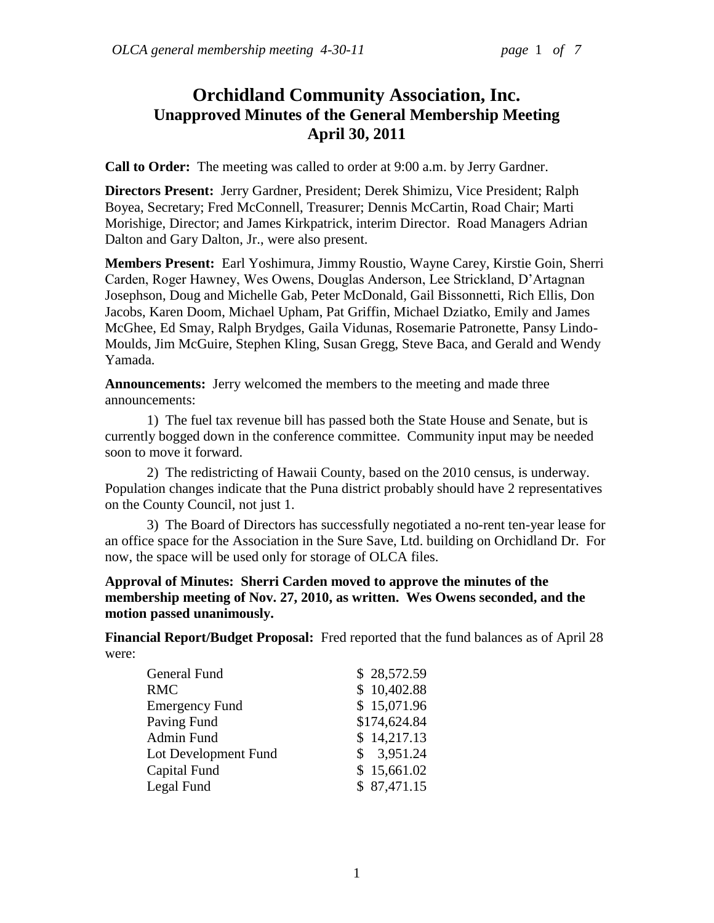# **Orchidland Community Association, Inc. Unapproved Minutes of the General Membership Meeting April 30, 2011**

**Call to Order:** The meeting was called to order at 9:00 a.m. by Jerry Gardner.

**Directors Present:** Jerry Gardner, President; Derek Shimizu, Vice President; Ralph Boyea, Secretary; Fred McConnell, Treasurer; Dennis McCartin, Road Chair; Marti Morishige, Director; and James Kirkpatrick, interim Director. Road Managers Adrian Dalton and Gary Dalton, Jr., were also present.

**Members Present:** Earl Yoshimura, Jimmy Roustio, Wayne Carey, Kirstie Goin, Sherri Carden, Roger Hawney, Wes Owens, Douglas Anderson, Lee Strickland, D"Artagnan Josephson, Doug and Michelle Gab, Peter McDonald, Gail Bissonnetti, Rich Ellis, Don Jacobs, Karen Doom, Michael Upham, Pat Griffin, Michael Dziatko, Emily and James McGhee, Ed Smay, Ralph Brydges, Gaila Vidunas, Rosemarie Patronette, Pansy Lindo-Moulds, Jim McGuire, Stephen Kling, Susan Gregg, Steve Baca, and Gerald and Wendy Yamada.

**Announcements:** Jerry welcomed the members to the meeting and made three announcements:

1) The fuel tax revenue bill has passed both the State House and Senate, but is currently bogged down in the conference committee. Community input may be needed soon to move it forward.

2) The redistricting of Hawaii County, based on the 2010 census, is underway. Population changes indicate that the Puna district probably should have 2 representatives on the County Council, not just 1.

3) The Board of Directors has successfully negotiated a no-rent ten-year lease for an office space for the Association in the Sure Save, Ltd. building on Orchidland Dr. For now, the space will be used only for storage of OLCA files.

# **Approval of Minutes: Sherri Carden moved to approve the minutes of the membership meeting of Nov. 27, 2010, as written. Wes Owens seconded, and the motion passed unanimously.**

**Financial Report/Budget Proposal:** Fred reported that the fund balances as of April 28 were:

| General Fund          | \$28,572.59  |
|-----------------------|--------------|
| <b>RMC</b>            | \$10,402.88  |
| <b>Emergency Fund</b> | \$15,071.96  |
| Paving Fund           | \$174,624.84 |
| Admin Fund            | \$14,217.13  |
| Lot Development Fund  | \$3,951.24   |
| Capital Fund          | \$15,661.02  |
| Legal Fund            | \$87,471.15  |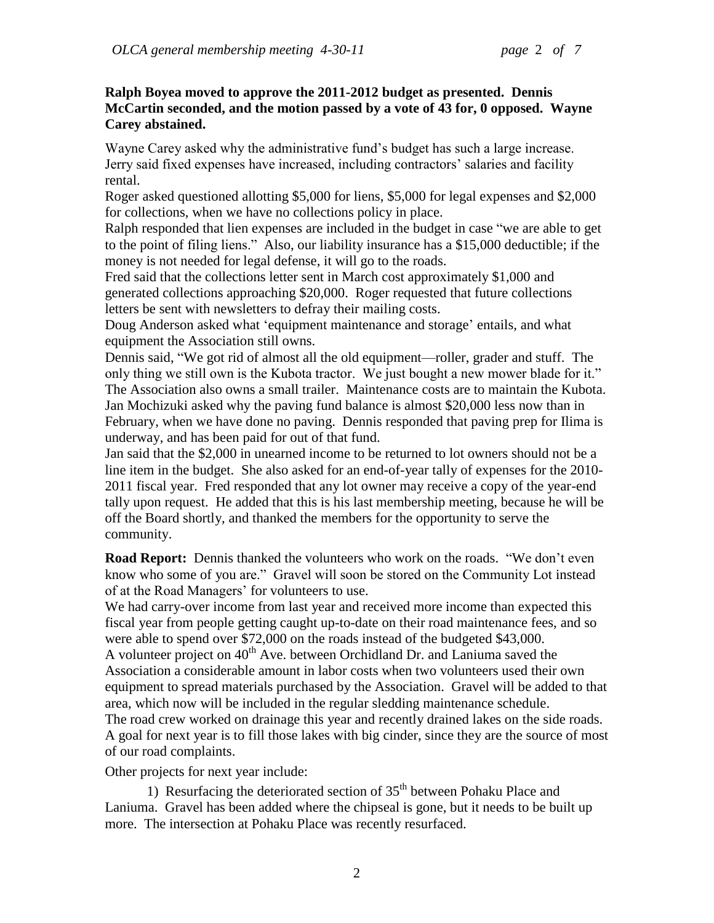## **Ralph Boyea moved to approve the 2011-2012 budget as presented. Dennis McCartin seconded, and the motion passed by a vote of 43 for, 0 opposed. Wayne Carey abstained.**

Wayne Carey asked why the administrative fund"s budget has such a large increase. Jerry said fixed expenses have increased, including contractors' salaries and facility rental.

Roger asked questioned allotting \$5,000 for liens, \$5,000 for legal expenses and \$2,000 for collections, when we have no collections policy in place.

Ralph responded that lien expenses are included in the budget in case "we are able to get to the point of filing liens." Also, our liability insurance has a \$15,000 deductible; if the money is not needed for legal defense, it will go to the roads.

Fred said that the collections letter sent in March cost approximately \$1,000 and generated collections approaching \$20,000. Roger requested that future collections letters be sent with newsletters to defray their mailing costs.

Doug Anderson asked what "equipment maintenance and storage" entails, and what equipment the Association still owns.

Dennis said, "We got rid of almost all the old equipment—roller, grader and stuff. The only thing we still own is the Kubota tractor. We just bought a new mower blade for it." The Association also owns a small trailer. Maintenance costs are to maintain the Kubota. Jan Mochizuki asked why the paving fund balance is almost \$20,000 less now than in February, when we have done no paving. Dennis responded that paving prep for Ilima is underway, and has been paid for out of that fund.

Jan said that the \$2,000 in unearned income to be returned to lot owners should not be a line item in the budget. She also asked for an end-of-year tally of expenses for the 2010- 2011 fiscal year. Fred responded that any lot owner may receive a copy of the year-end tally upon request. He added that this is his last membership meeting, because he will be off the Board shortly, and thanked the members for the opportunity to serve the community.

**Road Report:** Dennis thanked the volunteers who work on the roads. "We don't even know who some of you are." Gravel will soon be stored on the Community Lot instead of at the Road Managers' for volunteers to use.

We had carry-over income from last year and received more income than expected this fiscal year from people getting caught up-to-date on their road maintenance fees, and so were able to spend over \$72,000 on the roads instead of the budgeted \$43,000. A volunteer project on  $40<sup>th</sup>$  Ave. between Orchidland Dr. and Laniuma saved the Association a considerable amount in labor costs when two volunteers used their own equipment to spread materials purchased by the Association. Gravel will be added to that area, which now will be included in the regular sledding maintenance schedule. The road crew worked on drainage this year and recently drained lakes on the side roads. A goal for next year is to fill those lakes with big cinder, since they are the source of most of our road complaints.

Other projects for next year include:

1) Resurfacing the deteriorated section of  $35<sup>th</sup>$  between Pohaku Place and Laniuma. Gravel has been added where the chipseal is gone, but it needs to be built up more. The intersection at Pohaku Place was recently resurfaced.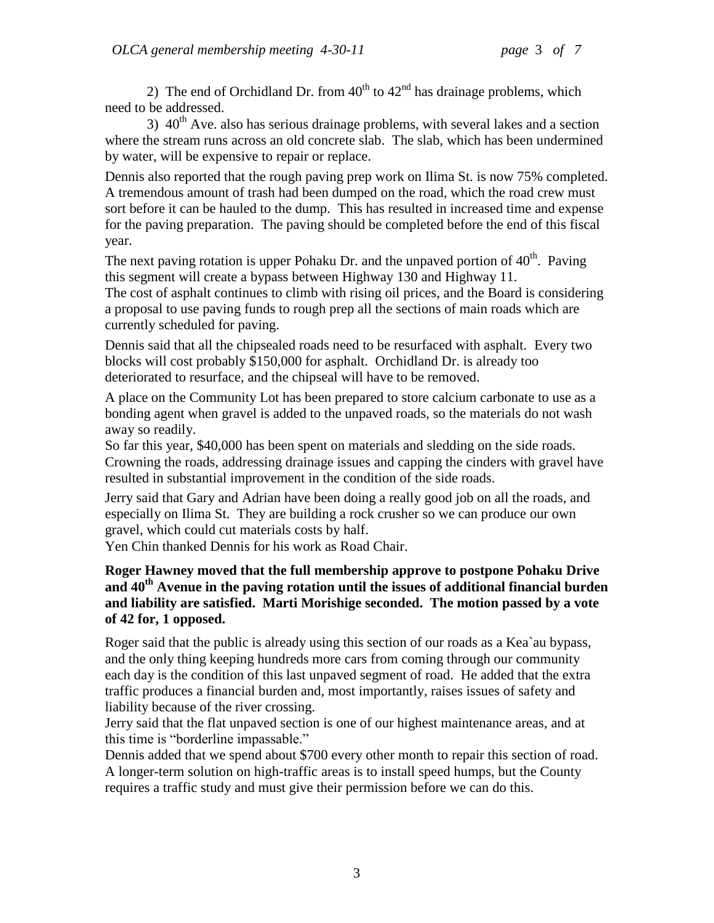2) The end of Orchidland Dr. from  $40^{th}$  to  $42^{nd}$  has drainage problems, which need to be addressed.

3)  $40<sup>th</sup>$  Ave. also has serious drainage problems, with several lakes and a section where the stream runs across an old concrete slab. The slab, which has been undermined by water, will be expensive to repair or replace.

Dennis also reported that the rough paving prep work on Ilima St. is now 75% completed. A tremendous amount of trash had been dumped on the road, which the road crew must sort before it can be hauled to the dump. This has resulted in increased time and expense for the paving preparation. The paving should be completed before the end of this fiscal year.

The next paving rotation is upper Pohaku Dr. and the unpaved portion of  $40^{\text{th}}$ . Paving this segment will create a bypass between Highway 130 and Highway 11.

The cost of asphalt continues to climb with rising oil prices, and the Board is considering a proposal to use paving funds to rough prep all the sections of main roads which are currently scheduled for paving.

Dennis said that all the chipsealed roads need to be resurfaced with asphalt. Every two blocks will cost probably \$150,000 for asphalt. Orchidland Dr. is already too deteriorated to resurface, and the chipseal will have to be removed.

A place on the Community Lot has been prepared to store calcium carbonate to use as a bonding agent when gravel is added to the unpaved roads, so the materials do not wash away so readily.

So far this year, \$40,000 has been spent on materials and sledding on the side roads. Crowning the roads, addressing drainage issues and capping the cinders with gravel have resulted in substantial improvement in the condition of the side roads.

Jerry said that Gary and Adrian have been doing a really good job on all the roads, and especially on Ilima St. They are building a rock crusher so we can produce our own gravel, which could cut materials costs by half.

Yen Chin thanked Dennis for his work as Road Chair.

# **Roger Hawney moved that the full membership approve to postpone Pohaku Drive and 40th Avenue in the paving rotation until the issues of additional financial burden and liability are satisfied. Marti Morishige seconded. The motion passed by a vote of 42 for, 1 opposed.**

Roger said that the public is already using this section of our roads as a Kea`au bypass, and the only thing keeping hundreds more cars from coming through our community each day is the condition of this last unpaved segment of road. He added that the extra traffic produces a financial burden and, most importantly, raises issues of safety and liability because of the river crossing.

Jerry said that the flat unpaved section is one of our highest maintenance areas, and at this time is "borderline impassable."

Dennis added that we spend about \$700 every other month to repair this section of road. A longer-term solution on high-traffic areas is to install speed humps, but the County requires a traffic study and must give their permission before we can do this.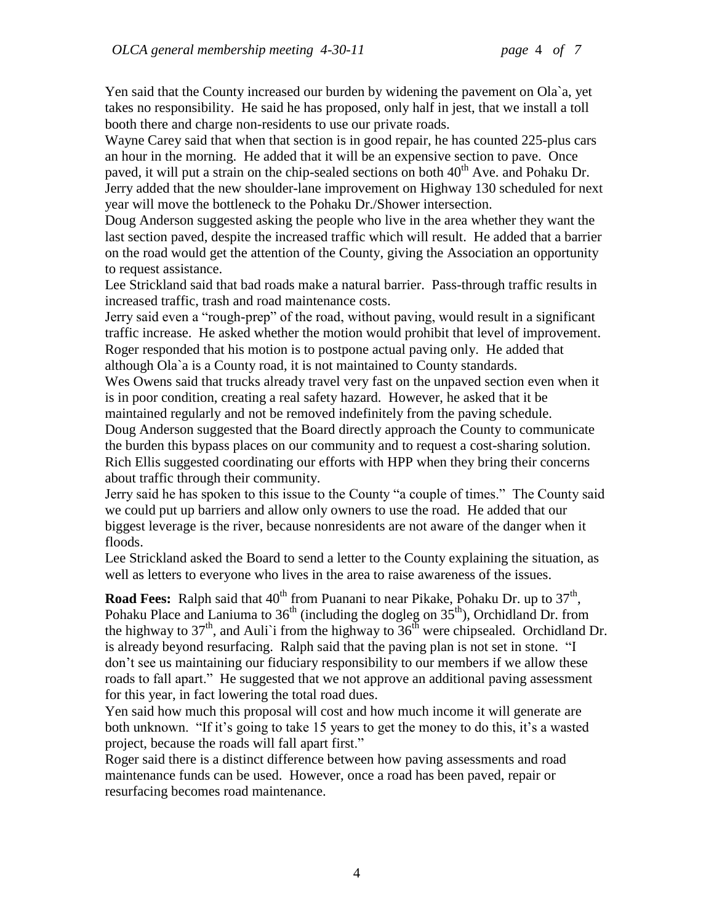Yen said that the County increased our burden by widening the pavement on Ola`a, yet takes no responsibility. He said he has proposed, only half in jest, that we install a toll booth there and charge non-residents to use our private roads.

Wayne Carey said that when that section is in good repair, he has counted 225-plus cars an hour in the morning. He added that it will be an expensive section to pave. Once paved, it will put a strain on the chip-sealed sections on both  $40<sup>th</sup>$  Ave. and Pohaku Dr. Jerry added that the new shoulder-lane improvement on Highway 130 scheduled for next year will move the bottleneck to the Pohaku Dr./Shower intersection.

Doug Anderson suggested asking the people who live in the area whether they want the last section paved, despite the increased traffic which will result. He added that a barrier on the road would get the attention of the County, giving the Association an opportunity to request assistance.

Lee Strickland said that bad roads make a natural barrier. Pass-through traffic results in increased traffic, trash and road maintenance costs.

Jerry said even a "rough-prep" of the road, without paving, would result in a significant traffic increase. He asked whether the motion would prohibit that level of improvement. Roger responded that his motion is to postpone actual paving only. He added that although Ola`a is a County road, it is not maintained to County standards.

Wes Owens said that trucks already travel very fast on the unpaved section even when it is in poor condition, creating a real safety hazard. However, he asked that it be maintained regularly and not be removed indefinitely from the paving schedule.

Doug Anderson suggested that the Board directly approach the County to communicate the burden this bypass places on our community and to request a cost-sharing solution. Rich Ellis suggested coordinating our efforts with HPP when they bring their concerns about traffic through their community.

Jerry said he has spoken to this issue to the County "a couple of times." The County said we could put up barriers and allow only owners to use the road. He added that our biggest leverage is the river, because nonresidents are not aware of the danger when it floods.

Lee Strickland asked the Board to send a letter to the County explaining the situation, as well as letters to everyone who lives in the area to raise awareness of the issues.

**Road Fees:** Ralph said that 40<sup>th</sup> from Puanani to near Pikake, Pohaku Dr. up to 37<sup>th</sup>, Pohaku Place and Laniuma to  $36<sup>th</sup>$  (including the dogleg on  $35<sup>th</sup>$ ), Orchidland Dr. from the highway to  $37<sup>th</sup>$ , and Auli' from the highway to  $36<sup>th</sup>$  were chipsealed. Orchidland Dr. is already beyond resurfacing. Ralph said that the paving plan is not set in stone. "I don"t see us maintaining our fiduciary responsibility to our members if we allow these roads to fall apart." He suggested that we not approve an additional paving assessment for this year, in fact lowering the total road dues.

Yen said how much this proposal will cost and how much income it will generate are both unknown. "If it's going to take 15 years to get the money to do this, it's a wasted project, because the roads will fall apart first."

Roger said there is a distinct difference between how paving assessments and road maintenance funds can be used. However, once a road has been paved, repair or resurfacing becomes road maintenance.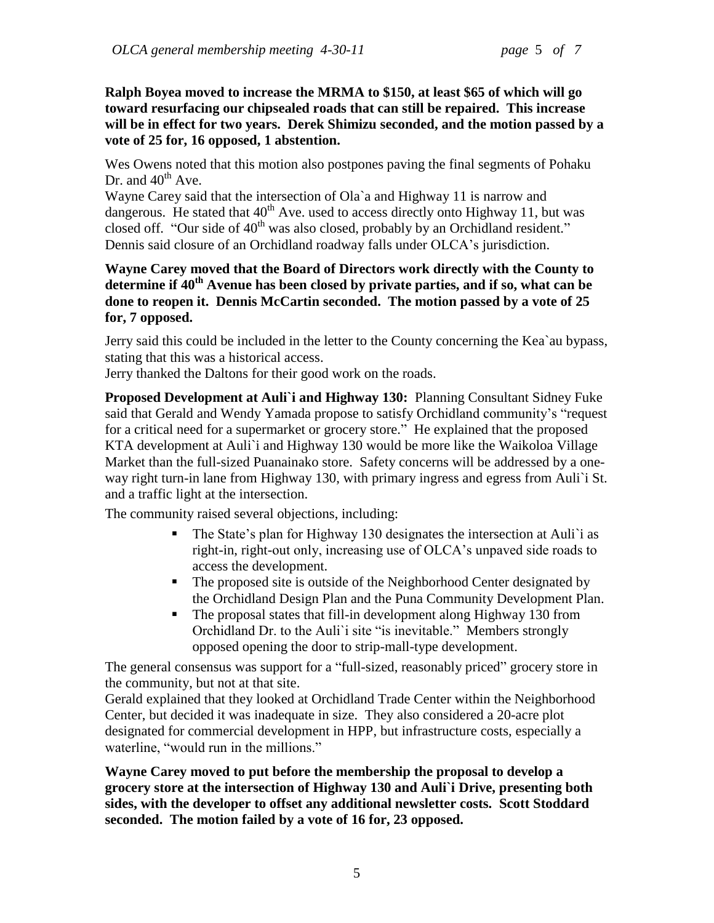**Ralph Boyea moved to increase the MRMA to \$150, at least \$65 of which will go toward resurfacing our chipsealed roads that can still be repaired. This increase will be in effect for two years. Derek Shimizu seconded, and the motion passed by a vote of 25 for, 16 opposed, 1 abstention.**

Wes Owens noted that this motion also postpones paving the final segments of Pohaku Dr. and  $40^{th}$  Ave.

Wayne Carey said that the intersection of Ola`a and Highway 11 is narrow and dangerous. He stated that  $40^{th}$  Ave. used to access directly onto Highway 11, but was closed off. "Our side of 40<sup>th</sup> was also closed, probably by an Orchidland resident." Dennis said closure of an Orchidland roadway falls under OLCA"s jurisdiction.

# **Wayne Carey moved that the Board of Directors work directly with the County to determine if 40th Avenue has been closed by private parties, and if so, what can be done to reopen it. Dennis McCartin seconded. The motion passed by a vote of 25 for, 7 opposed.**

Jerry said this could be included in the letter to the County concerning the Kea`au bypass, stating that this was a historical access.

Jerry thanked the Daltons for their good work on the roads.

**Proposed Development at Auli`i and Highway 130:** Planning Consultant Sidney Fuke said that Gerald and Wendy Yamada propose to satisfy Orchidland community's "request for a critical need for a supermarket or grocery store." He explained that the proposed KTA development at Auli`i and Highway 130 would be more like the Waikoloa Village Market than the full-sized Puanainako store. Safety concerns will be addressed by a oneway right turn-in lane from Highway 130, with primary ingress and egress from Auli`i St. and a traffic light at the intersection.

The community raised several objections, including:

- The State's plan for Highway 130 designates the intersection at Auli'i as right-in, right-out only, increasing use of OLCA"s unpaved side roads to access the development.
- The proposed site is outside of the Neighborhood Center designated by the Orchidland Design Plan and the Puna Community Development Plan.
- The proposal states that fill-in development along Highway 130 from Orchidland Dr. to the Auli`i site "is inevitable." Members strongly opposed opening the door to strip-mall-type development.

The general consensus was support for a "full-sized, reasonably priced" grocery store in the community, but not at that site.

Gerald explained that they looked at Orchidland Trade Center within the Neighborhood Center, but decided it was inadequate in size. They also considered a 20-acre plot designated for commercial development in HPP, but infrastructure costs, especially a waterline, "would run in the millions."

**Wayne Carey moved to put before the membership the proposal to develop a grocery store at the intersection of Highway 130 and Auli`i Drive, presenting both sides, with the developer to offset any additional newsletter costs. Scott Stoddard seconded. The motion failed by a vote of 16 for, 23 opposed.**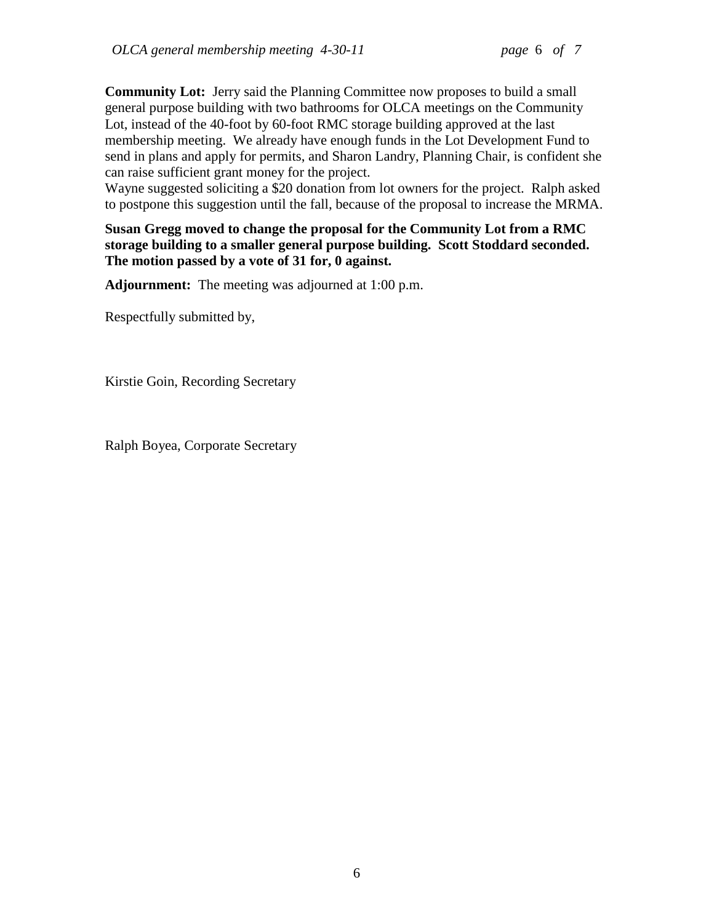**Community Lot:** Jerry said the Planning Committee now proposes to build a small general purpose building with two bathrooms for OLCA meetings on the Community Lot, instead of the 40-foot by 60-foot RMC storage building approved at the last membership meeting. We already have enough funds in the Lot Development Fund to send in plans and apply for permits, and Sharon Landry, Planning Chair, is confident she can raise sufficient grant money for the project.

Wayne suggested soliciting a \$20 donation from lot owners for the project. Ralph asked to postpone this suggestion until the fall, because of the proposal to increase the MRMA.

**Susan Gregg moved to change the proposal for the Community Lot from a RMC storage building to a smaller general purpose building. Scott Stoddard seconded. The motion passed by a vote of 31 for, 0 against.**

**Adjournment:** The meeting was adjourned at 1:00 p.m.

Respectfully submitted by,

Kirstie Goin, Recording Secretary

Ralph Boyea, Corporate Secretary